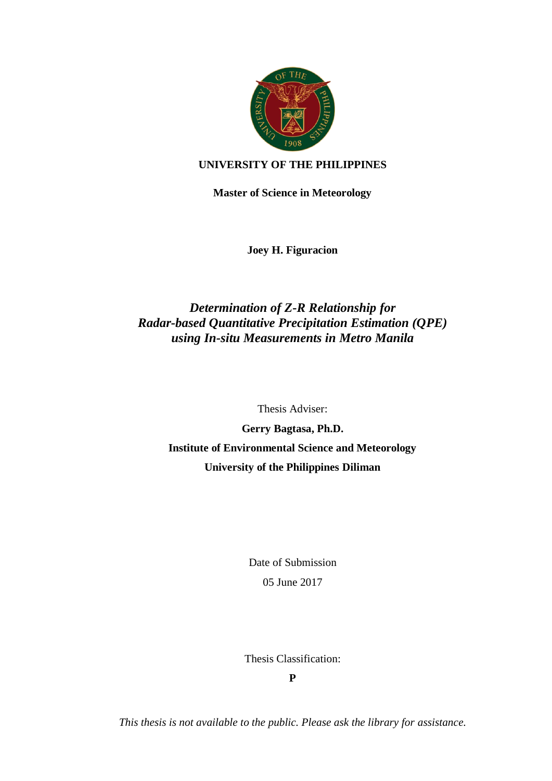

## **UNIVERSITY OF THE PHILIPPINES**

**Master of Science in Meteorology**

**Joey H. Figuracion**

## *Determination of Z-R Relationship for Radar-based Quantitative Precipitation Estimation (QPE) using In-situ Measurements in Metro Manila*

Thesis Adviser:

**Gerry Bagtasa, Ph.D. Institute of Environmental Science and Meteorology University of the Philippines Diliman**

> Date of Submission 05 June 2017

Thesis Classification:

**P**

*This thesis is not available to the public. Please ask the library for assistance.*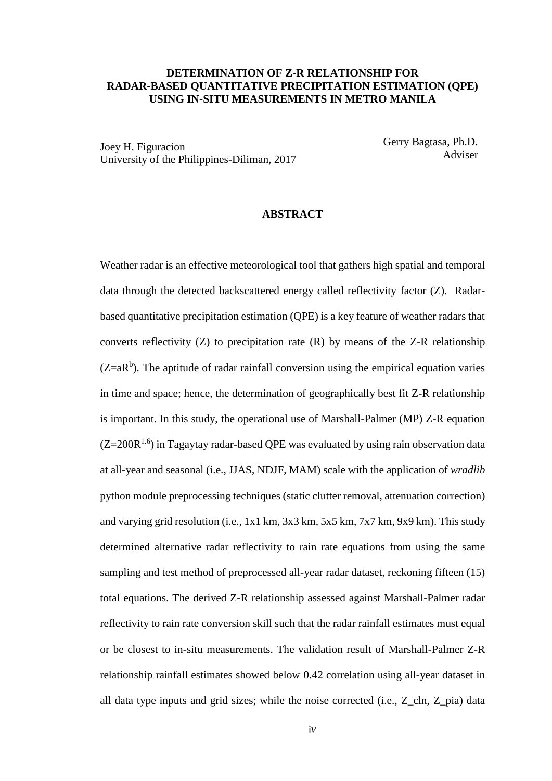## **DETERMINATION OF Z-R RELATIONSHIP FOR RADAR-BASED QUANTITATIVE PRECIPITATION ESTIMATION (QPE) USING IN-SITU MEASUREMENTS IN METRO MANILA**

Joey H. Figuracion University of the Philippines-Diliman, 2017 Gerry Bagtasa, Ph.D. Adviser

## **ABSTRACT**

Weather radar is an effective meteorological tool that gathers high spatial and temporal data through the detected backscattered energy called reflectivity factor (Z). Radarbased quantitative precipitation estimation (QPE) is a key feature of weather radars that converts reflectivity  $(Z)$  to precipitation rate  $(R)$  by means of the Z-R relationship  $(Z=aR<sup>b</sup>)$ . The aptitude of radar rainfall conversion using the empirical equation varies in time and space; hence, the determination of geographically best fit Z-R relationship is important. In this study, the operational use of Marshall-Palmer (MP) Z-R equation  $(Z=200R^{1.6})$  in Tagaytay radar-based QPE was evaluated by using rain observation data at all-year and seasonal (i.e., JJAS, NDJF, MAM) scale with the application of *wradlib* python module preprocessing techniques (static clutter removal, attenuation correction) and varying grid resolution (i.e., 1x1 km, 3x3 km, 5x5 km, 7x7 km, 9x9 km). This study determined alternative radar reflectivity to rain rate equations from using the same sampling and test method of preprocessed all-year radar dataset, reckoning fifteen (15) total equations. The derived Z-R relationship assessed against Marshall-Palmer radar reflectivity to rain rate conversion skill such that the radar rainfall estimates must equal or be closest to in-situ measurements. The validation result of Marshall-Palmer Z-R relationship rainfall estimates showed below 0.42 correlation using all-year dataset in all data type inputs and grid sizes; while the noise corrected (i.e., Z\_cln, Z\_pia) data